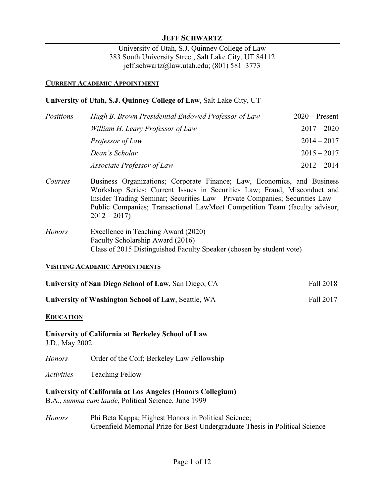### **JEFF SCHWARTZ**

University of Utah, S.J. Quinney College of Law 383 South University Street, Salt Lake City, UT 84112 jeff.schwartz@law.utah.edu; (801) 581–3773

#### **CURRENT ACADEMIC APPOINTMENT**

#### **University of Utah, S.J. Quinney College of Law**, Salt Lake City, UT

| Positions | Hugh B. Brown Presidential Endowed Professor of Law | $2020$ – Present |
|-----------|-----------------------------------------------------|------------------|
|           | William H. Leary Professor of Law                   | $2017 - 2020$    |
|           | Professor of Law                                    | $2014 - 2017$    |
|           | Dean's Scholar                                      | $2015 - 2017$    |
|           | Associate Professor of Law                          | $2012 - 2014$    |

- *Courses* Business Organizations; Corporate Finance; Law, Economics, and Business Workshop Series; Current Issues in Securities Law; Fraud, Misconduct and Insider Trading Seminar; Securities Law—Private Companies; Securities Law— Public Companies; Transactional LawMeet Competition Team (faculty advisor,  $2012 - 2017$
- *Honors* Excellence in Teaching Award (2020) Faculty Scholarship Award (2016) Class of 2015 Distinguished Faculty Speaker (chosen by student vote)

#### **VISITING ACADEMIC APPOINTMENTS**

| University of San Diego School of Law, San Diego, CA | Fall 2018 |
|------------------------------------------------------|-----------|
|                                                      |           |

**University of Washington School of Law**, Seattle, WA Fall 2017

#### **EDUCATION**

#### **University of California at Berkeley School of Law** J.D., May 2002

*Honors* Order of the Coif; Berkeley Law Fellowship

*Activities* Teaching Fellow

**University of California at Los Angeles (Honors Collegium)**

B.A., *summa cum laude*, Political Science, June 1999

*Honors* Phi Beta Kappa; Highest Honors in Political Science; Greenfield Memorial Prize for Best Undergraduate Thesis in Political Science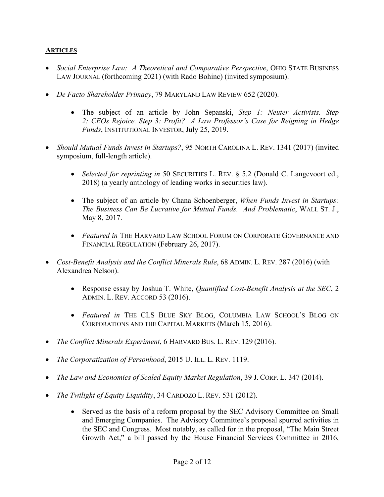# **ARTICLES**

- *Social Enterprise Law: A Theoretical and Comparative Perspective*, OHIO STATE BUSINESS LAW JOURNAL (forthcoming 2021) (with Rado Bohinc) (invited symposium).
- *De Facto Shareholder Primacy*, 79 MARYLAND LAW REVIEW 652 (2020).
	- The subject of an article by John Sepanski, *Step 1: Neuter Activists. Step 2: CEOs Rejoice. Step 3: Profit? A Law Professor's Case for Reigning in Hedge Funds*, INSTITUTIONAL INVESTOR, July 25, 2019.
- *Should Mutual Funds Invest in Startups?*, 95 NORTH CAROLINA L. REV. 1341 (2017) (invited symposium, full-length article).
	- *Selected for reprinting in* 50 SECURITIES L. REV. § 5.2 (Donald C. Langevoort ed., 2018) (a yearly anthology of leading works in securities law).
	- The subject of an article by Chana Schoenberger, *When Funds Invest in Startups: The Business Can Be Lucrative for Mutual Funds. And Problematic*, WALL ST. J., May 8, 2017.
	- *Featured in* THE HARVARD LAW SCHOOL FORUM ON CORPORATE GOVERNANCE AND FINANCIAL REGULATION (February 26, 2017).
- *Cost-Benefit Analysis and the Conflict Minerals Rule*, 68 ADMIN. L. REV. 287 (2016) (with Alexandrea Nelson).
	- Response essay by Joshua T. White, *Quantified Cost-Benefit Analysis at the SEC*, 2 ADMIN. L. REV. ACCORD 53 (2016).
	- *Featured in* THE CLS BLUE SKY BLOG, COLUMBIA LAW SCHOOL'S BLOG ON CORPORATIONS AND THE CAPITAL MARKETS (March 15, 2016).
- *The Conflict Minerals Experiment*, 6 HARVARD BUS. L. REV. 129 (2016).
- *The Corporatization of Personhood*, 2015 U. ILL. L. REV. 1119.
- *The Law and Economics of Scaled Equity Market Regulation*, 39 J. CORP. L. 347 (2014).
- *The Twilight of Equity Liquidity*, 34 CARDOZO L. REV. 531 (2012).
	- Served as the basis of a reform proposal by the SEC Advisory Committee on Small and Emerging Companies. The Advisory Committee's proposal spurred activities in the SEC and Congress. Most notably, as called for in the proposal, "The Main Street Growth Act," a bill passed by the House Financial Services Committee in 2016,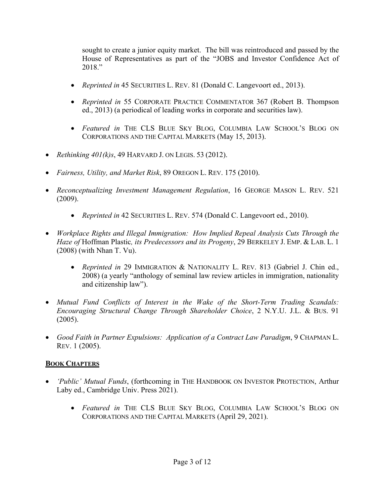sought to create a junior equity market. The bill was reintroduced and passed by the House of Representatives as part of the "JOBS and Investor Confidence Act of 2018."

- *Reprinted in* 45 SECURITIES L. REV. 81 (Donald C. Langevoort ed., 2013).
- *Reprinted in* 55 CORPORATE PRACTICE COMMENTATOR 367 (Robert B. Thompson ed., 2013) (a periodical of leading works in corporate and securities law).
- *Featured in* THE CLS BLUE SKY BLOG, COLUMBIA LAW SCHOOL'S BLOG ON CORPORATIONS AND THE CAPITAL MARKETS (May 15, 2013).
- *Rethinking 401(k)s*, 49 HARVARD J. ON LEGIS. 53 (2012).
- *Fairness, Utility, and Market Risk*, 89 OREGON L. REV. 175 (2010).
- *Reconceptualizing Investment Management Regulation*, 16 GEORGE MASON L. REV. 521 (2009).
	- *Reprinted in* 42 SECURITIES L. REV. 574 (Donald C. Langevoort ed., 2010).
- *Workplace Rights and Illegal Immigration: How Implied Repeal Analysis Cuts Through the Haze of* Hoffman Plastic*, its Predecessors and its Progeny*, 29 BERKELEY J. EMP. & LAB. L. 1 (2008) (with Nhan T. Vu).
	- *Reprinted in* 29 IMMIGRATION & NATIONALITY L. REV. 813 (Gabriel J. Chin ed., 2008) (a yearly "anthology of seminal law review articles in immigration, nationality and citizenship law").
- *Mutual Fund Conflicts of Interest in the Wake of the Short-Term Trading Scandals: Encouraging Structural Change Through Shareholder Choice*, 2 N.Y.U. J.L. & BUS. 91 (2005).
- *Good Faith in Partner Expulsions: Application of a Contract Law Paradigm*, 9 CHAPMAN L. REV. 1 (2005).

# **BOOK CHAPTERS**

- *'Public' Mutual Funds*, (forthcoming in THE HANDBOOK ON INVESTOR PROTECTION, Arthur Laby ed., Cambridge Univ. Press 2021).
	- *Featured in* THE CLS BLUE SKY BLOG, COLUMBIA LAW SCHOOL'S BLOG ON CORPORATIONS AND THE CAPITAL MARKETS (April 29, 2021).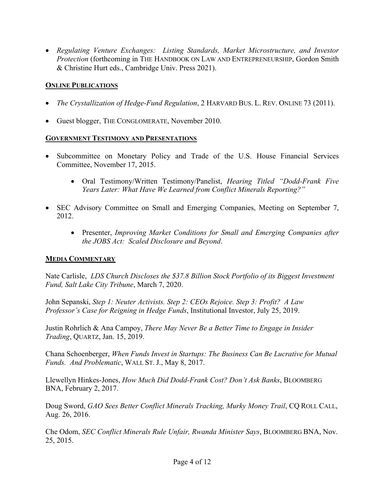• *Regulating Venture Exchanges: Listing Standards, Market Microstructure, and Investor Protection* (forthcoming in THE HANDBOOK ON LAW AND ENTREPRENEURSHIP, Gordon Smith & Christine Hurt eds., Cambridge Univ. Press 2021).

# **ONLINE PUBLICATIONS**

- *The Crystallization of Hedge-Fund Regulation*, 2 HARVARD BUS. L. REV. ONLINE 73 (2011).
- Guest blogger, THE CONGLOMERATE, November 2010.

### **GOVERNMENT TESTIMONY AND PRESENTATIONS**

- Subcommittee on Monetary Policy and Trade of the U.S. House Financial Services Committee, November 17, 2015.
	- Oral Testimony/Written Testimony/Panelist, *Hearing Titled "Dodd-Frank Five Years Later: What Have We Learned from Conflict Minerals Reporting?"*
- SEC Advisory Committee on Small and Emerging Companies, Meeting on September 7, 2012.
	- Presenter, *Improving Market Conditions for Small and Emerging Companies after the JOBS Act: Scaled Disclosure and Beyond*.

## **MEDIA COMMENTARY**

Nate Carlisle, *LDS Church Discloses the \$37.8 Billion Stock Portfolio of its Biggest Investment Fund, Salt Lake City Tribune*, March 7, 2020.

John Sepanski, *Step 1: Neuter Activists. Step 2: CEOs Rejoice. Step 3: Profit? A Law Professor's Case for Reigning in Hedge Funds*, Institutional Investor, July 25, 2019.

Justin Rohrlich & Ana Campoy, *There May Never Be a Better Time to Engage in Insider Trading*, QUARTZ, Jan. 15, 2019.

Chana Schoenberger, *When Funds Invest in Startups: The Business Can Be Lucrative for Mutual Funds. And Problematic*, WALL ST. J., May 8, 2017.

Llewellyn Hinkes-Jones, *How Much Did Dodd-Frank Cost? Don't Ask Banks*, BLOOMBERG BNA, February 2, 2017.

Doug Sword, *GAO Sees Better Conflict Minerals Tracking, Murky Money Trail*, CQ ROLL CALL, Aug. 26, 2016.

Che Odom, *SEC Conflict Minerals Rule Unfair, Rwanda Minister Says*, BLOOMBERG BNA, Nov. 25, 2015.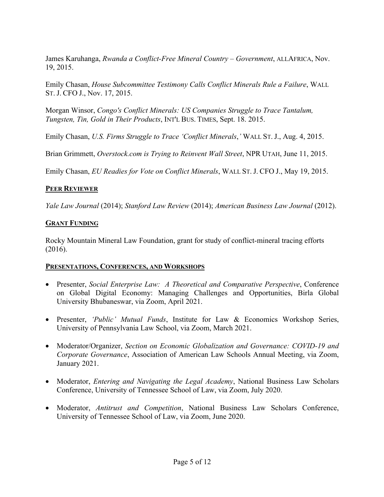James Karuhanga, *Rwanda a Conflict-Free Mineral Country – Government*, ALLAFRICA, Nov. 19, 2015.

Emily Chasan, *House Subcommittee Testimony Calls Conflict Minerals Rule a Failure*, WALL ST. J. CFO J., Nov. 17, 2015.

Morgan Winsor, *Congo's Conflict Minerals: US Companies Struggle to Trace Tantalum, Tungsten, Tin, Gold in Their Products*, INT'L BUS. TIMES, Sept. 18. 2015.

Emily Chasan, *U.S. Firms Struggle to Trace 'Conflict Minerals*,*'* WALL ST. J., Aug. 4, 2015.

Brian Grimmett, *Overstock.com is Trying to Reinvent Wall Street*, NPR UTAH, June 11, 2015.

Emily Chasan, *EU Readies for Vote on Conflict Minerals*, WALL ST. J. CFO J., May 19, 2015.

# **PEER REVIEWER**

*Yale Law Journal* (2014); *Stanford Law Review* (2014); *American Business Law Journal* (2012).

# **GRANT FUNDING**

Rocky Mountain Mineral Law Foundation, grant for study of conflict-mineral tracing efforts (2016).

## **PRESENTATIONS, CONFERENCES, AND WORKSHOPS**

- Presenter, *Social Enterprise Law: A Theoretical and Comparative Perspective*, Conference on Global Digital Economy: Managing Challenges and Opportunities, Birla Global University Bhubaneswar, via Zoom, April 2021.
- Presenter, *'Public' Mutual Funds*, Institute for Law & Economics Workshop Series, University of Pennsylvania Law School, via Zoom, March 2021.
- Moderator/Organizer, *Section on Economic Globalization and Governance: COVID-19 and Corporate Governance*, Association of American Law Schools Annual Meeting, via Zoom, January 2021.
- Moderator, *Entering and Navigating the Legal Academy*, National Business Law Scholars Conference, University of Tennessee School of Law, via Zoom, July 2020.
- Moderator, *Antitrust and Competition*, National Business Law Scholars Conference, University of Tennessee School of Law, via Zoom, June 2020.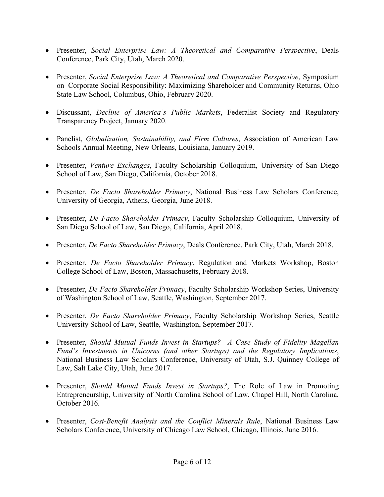- Presenter, *Social Enterprise Law: A Theoretical and Comparative Perspective*, Deals Conference, Park City, Utah, March 2020.
- Presenter, *Social Enterprise Law: A Theoretical and Comparative Perspective*, Symposium on Corporate Social Responsibility: Maximizing Shareholder and Community Returns, Ohio State Law School, Columbus, Ohio, February 2020.
- Discussant, *Decline of America's Public Markets*, Federalist Society and Regulatory Transparency Project, January 2020.
- Panelist, *Globalization, Sustainability, and Firm Cultures*, Association of American Law Schools Annual Meeting, New Orleans, Louisiana, January 2019.
- Presenter, *Venture Exchanges*, Faculty Scholarship Colloquium, University of San Diego School of Law, San Diego, California, October 2018.
- Presenter, *De Facto Shareholder Primacy*, National Business Law Scholars Conference, University of Georgia, Athens, Georgia, June 2018.
- Presenter, *De Facto Shareholder Primacy*, Faculty Scholarship Colloquium, University of San Diego School of Law, San Diego, California, April 2018.
- Presenter, *De Facto Shareholder Primacy*, Deals Conference, Park City, Utah, March 2018.
- Presenter, *De Facto Shareholder Primacy*, Regulation and Markets Workshop, Boston College School of Law, Boston, Massachusetts, February 2018.
- Presenter, *De Facto Shareholder Primacy*, Faculty Scholarship Workshop Series, University of Washington School of Law, Seattle, Washington, September 2017.
- Presenter, *De Facto Shareholder Primacy*, Faculty Scholarship Workshop Series, Seattle University School of Law, Seattle, Washington, September 2017.
- Presenter, *Should Mutual Funds Invest in Startups? A Case Study of Fidelity Magellan Fund's Investments in Unicorns (and other Startups) and the Regulatory Implications*, National Business Law Scholars Conference, University of Utah, S.J. Quinney College of Law, Salt Lake City, Utah, June 2017.
- Presenter, *Should Mutual Funds Invest in Startups?*, The Role of Law in Promoting Entrepreneurship, University of North Carolina School of Law, Chapel Hill, North Carolina, October 2016.
- Presenter, *Cost-Benefit Analysis and the Conflict Minerals Rule*, National Business Law Scholars Conference, University of Chicago Law School, Chicago, Illinois, June 2016.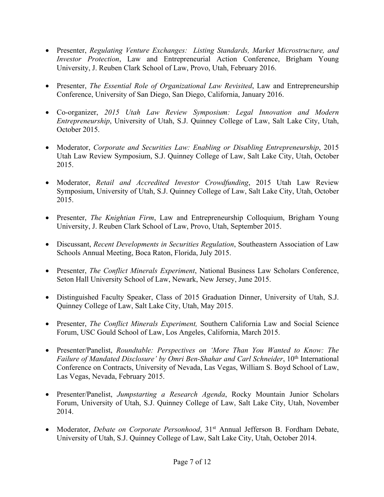- Presenter, *Regulating Venture Exchanges: Listing Standards, Market Microstructure, and Investor Protection*, Law and Entrepreneurial Action Conference, Brigham Young University, J. Reuben Clark School of Law, Provo, Utah, February 2016.
- Presenter, *The Essential Role of Organizational Law Revisited*, Law and Entrepreneurship Conference, University of San Diego, San Diego, California, January 2016.
- Co-organizer, *2015 Utah Law Review Symposium: Legal Innovation and Modern Entrepreneurship*, University of Utah, S.J. Quinney College of Law, Salt Lake City, Utah, October 2015.
- Moderator, *Corporate and Securities Law: Enabling or Disabling Entrepreneurship*, 2015 Utah Law Review Symposium, S.J. Quinney College of Law, Salt Lake City, Utah, October 2015.
- Moderator, *Retail and Accredited Investor Crowdfunding*, 2015 Utah Law Review Symposium, University of Utah, S.J. Quinney College of Law, Salt Lake City, Utah, October 2015.
- Presenter, *The Knightian Firm*, Law and Entrepreneurship Colloquium, Brigham Young University, J. Reuben Clark School of Law, Provo, Utah, September 2015.
- Discussant, *Recent Developments in Securities Regulation*, Southeastern Association of Law Schools Annual Meeting, Boca Raton, Florida, July 2015.
- Presenter, *The Conflict Minerals Experiment*, National Business Law Scholars Conference, Seton Hall University School of Law, Newark, New Jersey, June 2015.
- Distinguished Faculty Speaker, Class of 2015 Graduation Dinner, University of Utah, S.J. Quinney College of Law, Salt Lake City, Utah, May 2015.
- Presenter, *The Conflict Minerals Experiment,* Southern California Law and Social Science Forum, USC Gould School of Law, Los Angeles, California, March 2015.
- Presenter/Panelist, *Roundtable: Perspectives on 'More Than You Wanted to Know: The Failure of Mandated Disclosure' by Omri Ben-Shahar and Carl Schneider*, 10<sup>th</sup> International Conference on Contracts, University of Nevada, Las Vegas, William S. Boyd School of Law, Las Vegas, Nevada, February 2015.
- Presenter/Panelist, *Jumpstarting a Research Agenda*, Rocky Mountain Junior Scholars Forum, University of Utah, S.J. Quinney College of Law, Salt Lake City, Utah, November 2014.
- Moderator, *Debate on Corporate Personhood*, 31<sup>st</sup> Annual Jefferson B. Fordham Debate, University of Utah, S.J. Quinney College of Law, Salt Lake City, Utah, October 2014.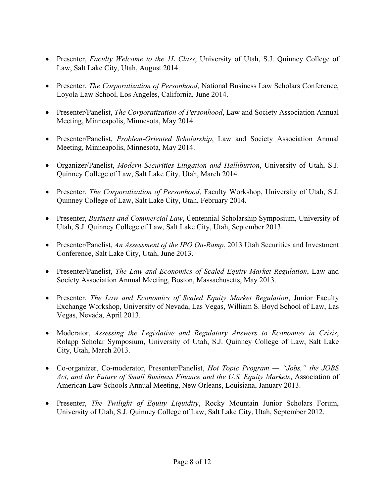- Presenter, *Faculty Welcome to the 1L Class*, University of Utah, S.J. Quinney College of Law, Salt Lake City, Utah, August 2014.
- Presenter, *The Corporatization of Personhood*, National Business Law Scholars Conference, Loyola Law School, Los Angeles, California, June 2014.
- Presenter/Panelist, *The Corporatization of Personhood*, Law and Society Association Annual Meeting, Minneapolis, Minnesota, May 2014.
- Presenter/Panelist, *Problem-Oriented Scholarship*, Law and Society Association Annual Meeting, Minneapolis, Minnesota, May 2014.
- Organizer/Panelist, *Modern Securities Litigation and Halliburton*, University of Utah, S.J. Quinney College of Law, Salt Lake City, Utah, March 2014.
- Presenter, *The Corporatization of Personhood*, Faculty Workshop, University of Utah, S.J. Quinney College of Law, Salt Lake City, Utah, February 2014.
- Presenter, *Business and Commercial Law*, Centennial Scholarship Symposium, University of Utah, S.J. Quinney College of Law, Salt Lake City, Utah, September 2013.
- Presenter/Panelist, *An Assessment of the IPO On-Ramp*, 2013 Utah Securities and Investment Conference, Salt Lake City, Utah, June 2013.
- Presenter/Panelist, *The Law and Economics of Scaled Equity Market Regulation*, Law and Society Association Annual Meeting, Boston, Massachusetts, May 2013.
- Presenter, *The Law and Economics of Scaled Equity Market Regulation*, Junior Faculty Exchange Workshop, University of Nevada, Las Vegas, William S. Boyd School of Law, Las Vegas, Nevada, April 2013.
- Moderator, *Assessing the Legislative and Regulatory Answers to Economies in Crisis*, Rolapp Scholar Symposium, University of Utah, S.J. Quinney College of Law, Salt Lake City, Utah, March 2013.
- Co-organizer, Co-moderator, Presenter/Panelist, *Hot Topic Program — "Jobs," the JOBS Act, and the Future of Small Business Finance and the U.S. Equity Markets*, Association of American Law Schools Annual Meeting, New Orleans, Louisiana, January 2013.
- Presenter, *The Twilight of Equity Liquidity*, Rocky Mountain Junior Scholars Forum, University of Utah, S.J. Quinney College of Law, Salt Lake City, Utah, September 2012.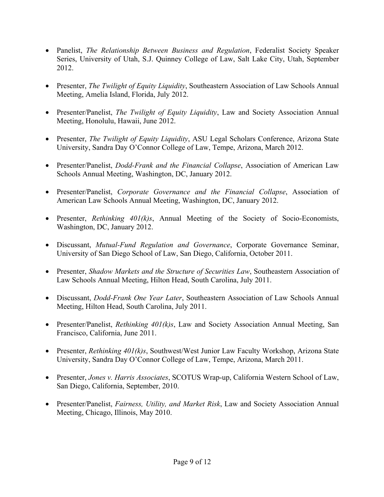- Panelist, *The Relationship Between Business and Regulation*, Federalist Society Speaker Series, University of Utah, S.J. Quinney College of Law, Salt Lake City, Utah, September 2012.
- Presenter, *The Twilight of Equity Liquidity*, Southeastern Association of Law Schools Annual Meeting, Amelia Island, Florida, July 2012.
- Presenter/Panelist, *The Twilight of Equity Liquidity*, Law and Society Association Annual Meeting, Honolulu, Hawaii, June 2012.
- Presenter, *The Twilight of Equity Liquidity*, ASU Legal Scholars Conference, Arizona State University, Sandra Day O'Connor College of Law, Tempe, Arizona, March 2012.
- Presenter/Panelist, *Dodd-Frank and the Financial Collapse*, Association of American Law Schools Annual Meeting, Washington, DC, January 2012.
- Presenter/Panelist, *Corporate Governance and the Financial Collapse*, Association of American Law Schools Annual Meeting, Washington, DC, January 2012.
- Presenter, *Rethinking 401(k)s*, Annual Meeting of the Society of Socio-Economists, Washington, DC, January 2012.
- Discussant, *Mutual-Fund Regulation and Governance*, Corporate Governance Seminar, University of San Diego School of Law, San Diego, California, October 2011.
- Presenter, *Shadow Markets and the Structure of Securities Law*, Southeastern Association of Law Schools Annual Meeting, Hilton Head, South Carolina, July 2011.
- Discussant, *Dodd-Frank One Year Later*, Southeastern Association of Law Schools Annual Meeting, Hilton Head, South Carolina, July 2011.
- Presenter/Panelist, *Rethinking 401(k)s*, Law and Society Association Annual Meeting, San Francisco, California, June 2011.
- Presenter, *Rethinking 401(k)s*, Southwest/West Junior Law Faculty Workshop, Arizona State University, Sandra Day O'Connor College of Law, Tempe, Arizona, March 2011.
- Presenter, *Jones v. Harris Associates*, SCOTUS Wrap-up, California Western School of Law, San Diego, California, September, 2010.
- Presenter/Panelist, *Fairness, Utility, and Market Risk*, Law and Society Association Annual Meeting, Chicago, Illinois, May 2010.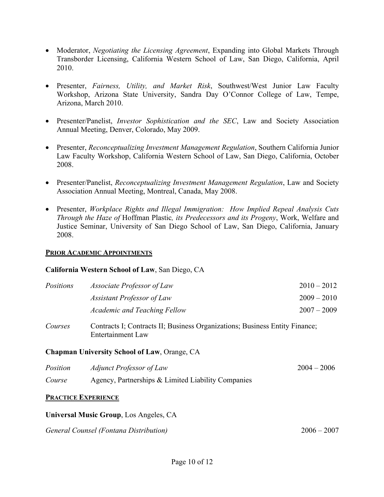- Moderator, *Negotiating the Licensing Agreement*, Expanding into Global Markets Through Transborder Licensing, California Western School of Law, San Diego, California, April 2010.
- Presenter, *Fairness, Utility, and Market Risk*, Southwest/West Junior Law Faculty Workshop, Arizona State University, Sandra Day O'Connor College of Law, Tempe, Arizona, March 2010.
- Presenter/Panelist, *Investor Sophistication and the SEC*, Law and Society Association Annual Meeting, Denver, Colorado, May 2009.
- Presenter, *Reconceptualizing Investment Management Regulation*, Southern California Junior Law Faculty Workshop, California Western School of Law, San Diego, California, October 2008.
- Presenter/Panelist, *Reconceptualizing Investment Management Regulation*, Law and Society Association Annual Meeting, Montreal, Canada, May 2008.
- Presenter, *Workplace Rights and Illegal Immigration: How Implied Repeal Analysis Cuts Through the Haze of* Hoffman Plastic*, its Predecessors and its Progeny*, Work, Welfare and Justice Seminar, University of San Diego School of Law, San Diego, California, January 2008.

#### **PRIOR ACADEMIC APPOINTMENTS**

## **California Western School of Law**, San Diego, CA

| Positions | <i>Associate Professor of Law</i>                                           | $2010 - 2012$ |
|-----------|-----------------------------------------------------------------------------|---------------|
|           | Assistant Professor of Law                                                  | $2009 - 2010$ |
|           | <b>Academic and Teaching Fellow</b>                                         | $2007 - 2009$ |
| Courses   | Contracts I; Contracts II; Business Organizations; Business Entity Finance; |               |

# **Chapman University School of Law**, Orange, CA

Entertainment Law

| Position | <i>Adjunct Professor of Law</i>                    | $2004 - 2006$ |
|----------|----------------------------------------------------|---------------|
| Course   | Agency, Partnerships & Limited Liability Companies |               |

#### **PRACTICE EXPERIENCE**

## **Universal Music Group**, Los Angeles, CA

*General Counsel (Fontana Distribution)* 2006 – 2007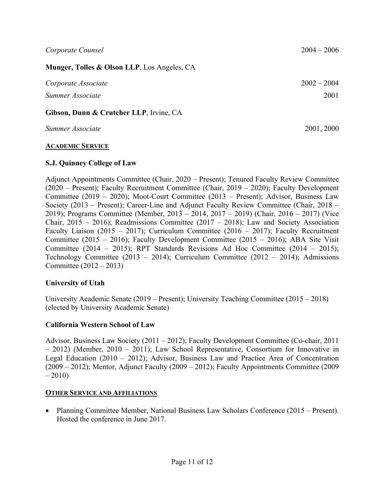| Munger, Tolles & Olson LLP, Los Angeles, CA |               |  |  |
|---------------------------------------------|---------------|--|--|
| Corporate Associate                         | $2002 - 2004$ |  |  |
| Summer Associate                            | 2001          |  |  |
| Gibson, Dunn & Crutcher LLP, Irvine, CA     |               |  |  |

*Summer Associate* 2001, 2000

# **ACADEMIC SERVICE**

# **S.J. Quinney College of Law**

Adjunct Appointments Committee (Chair, 2020 – Present); Tenured Faculty Review Committee (2020 – Present); Faculty Recruitment Committee (Chair, 2019 – 2020); Faculty Development Committee (2019 – 2020); Moot-Court Committee (2013 – Present); Advisor, Business Law Society (2013 – Present); Career-Line and Adjunct Faculty Review Committee (Chair, 2018 – 2019); Programs Committee (Member, 2013 – 2014, 2017 – 2019) (Chair, 2016 – 2017) (Vice Chair,  $2015 - 2016$ ; Readmissions Committee (2017 – 2018); Law and Society Association Faculty Liaison (2015 – 2017); Curriculum Committee (2016 – 2017); Faculty Recruitment Committee (2015 – 2016); Faculty Development Committee (2015 – 2016); ABA Site Visit Committee (2014 – 2015); RPT Standards Revisions Ad Hoc Committee (2014 – 2015); Technology Committee (2013 – 2014); Curriculum Committee (2012 – 2014); Admissions Committee (2012 – 2013)

# **University of Utah**

University Academic Senate (2019 – Present); University Teaching Committee (2015 – 2018) (elected by University Academic Senate)

## **California Western School of Law**

Advisor, Business Law Society (2011 – 2012); Faculty Development Committee (Co-chair, 2011 – 2012) (Member, 2010 – 2011); Law School Representative, Consortium for Innovative in Legal Education (2010 – 2012); Advisor, Business Law and Practice Area of Concentration (2009 – 2012); Mentor, Adjunct Faculty (2009 – 2012); Faculty Appointments Committee (2009  $-2010$ 

## **OTHER SERVICE AND AFFILIATIONS**

• Planning Committee Member, National Business Law Scholars Conference (2015 – Present). Hosted the conference in June 2017.

*Corporate Counsel* 2004 – 2006